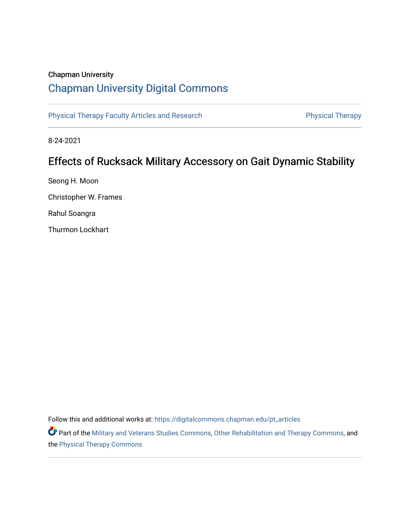### Chapman University

# [Chapman University Digital Commons](https://digitalcommons.chapman.edu/)

[Physical Therapy Faculty Articles and Research](https://digitalcommons.chapman.edu/pt_articles) **Physical Therapy** Physical Therapy

8-24-2021

# Effects of Rucksack Military Accessory on Gait Dynamic Stability

Seong H. Moon Christopher W. Frames Rahul Soangra Thurmon Lockhart

Follow this and additional works at: [https://digitalcommons.chapman.edu/pt\\_articles](https://digitalcommons.chapman.edu/pt_articles?utm_source=digitalcommons.chapman.edu%2Fpt_articles%2F160&utm_medium=PDF&utm_campaign=PDFCoverPages) 

Part of the [Military and Veterans Studies Commons](http://network.bepress.com/hgg/discipline/396?utm_source=digitalcommons.chapman.edu%2Fpt_articles%2F160&utm_medium=PDF&utm_campaign=PDFCoverPages), [Other Rehabilitation and Therapy Commons](http://network.bepress.com/hgg/discipline/758?utm_source=digitalcommons.chapman.edu%2Fpt_articles%2F160&utm_medium=PDF&utm_campaign=PDFCoverPages), and the [Physical Therapy Commons](http://network.bepress.com/hgg/discipline/754?utm_source=digitalcommons.chapman.edu%2Fpt_articles%2F160&utm_medium=PDF&utm_campaign=PDFCoverPages)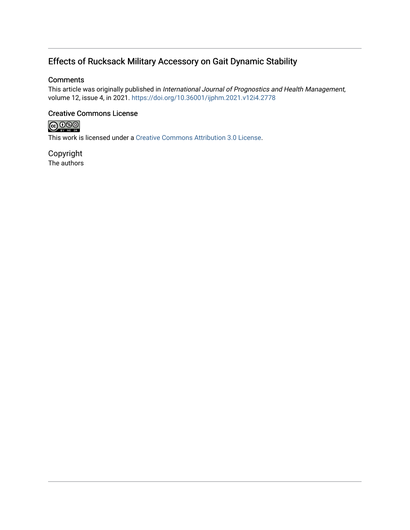## Effects of Rucksack Military Accessory on Gait Dynamic Stability

### **Comments**

This article was originally published in International Journal of Prognostics and Health Management, volume 12, issue 4, in 2021. <https://doi.org/10.36001/ijphm.2021.v12i4.2778>

### Creative Commons License



This work is licensed under a [Creative Commons Attribution 3.0 License](https://creativecommons.org/licenses/by/3.0/).

Copyright The authors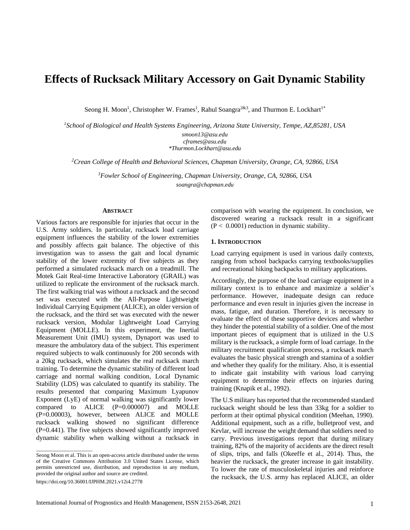## **Effects of Rucksack Military Accessory on Gait Dynamic Stability**

Seong H. Moon<sup>1</sup>, Christopher W. Frames<sup>1</sup>, Rahul Soangra<sup>2&3</sup>, and Thurmon E. Lockhart<sup>1\*</sup>

*<sup>1</sup>School of Biological and Health Systems Engineering, Arizona State University, Tempe, AZ,85281, USA [smoon13@asu.edu](mailto:smoon13@asu.edu) cframes@asu.edu*

*\*Thurmon.Lockhart@asu.edu*

*<sup>2</sup>Crean College of Health and Behavioral Sciences, Chapman University, Orange, CA, 92866, USA*

*<sup>3</sup>Fowler School of Engineering, Chapman University, Orange, CA, 92866, USA soangra@chapman.edu*

#### **ABSTRACT**

Various factors are responsible for injuries that occur in the U.S. Army soldiers. In particular, rucksack load carriage equipment influences the stability of the lower extremities and possibly affects gait balance. The objective of this investigation was to assess the gait and local dynamic stability of the lower extremity of five subjects as they performed a simulated rucksack march on a treadmill. The Motek Gait Real-time Interactive Laboratory (GRAIL) was utilized to replicate the environment of the rucksack march. The first walking trial was without a rucksack and the second set was executed with the All-Purpose Lightweight Individual Carrying Equipment (ALICE), an older version of the rucksack, and the third set was executed with the newer rucksack version, Modular Lightweight Load Carrying Equipment (MOLLE). In this experiment, the Inertial Measurement Unit (IMU) system, Dynaport was used to measure the ambulatory data of the subject. This experiment required subjects to walk continuously for 200 seconds with a 20kg rucksack, which simulates the real rucksack march training. To determine the dynamic stability of different load carriage and normal walking condition, Local Dynamic Stability (LDS) was calculated to quantify its stability. The results presented that comparing Maximum Lyapunov Exponent (LyE) of normal walking was significantly lower compared to ALICE (P=0.000007) and MOLLE (P=0.00003), however, between ALICE and MOLLE rucksack walking showed no significant difference (P=0.441). The five subjects showed significantly improved dynamic stability when walking without a rucksack in

https://doi.org/10.36001/IJPHM.2021.v12i4.2778

 $\_$ 

comparison with wearing the equipment. In conclusion, we discovered wearing a rucksack result in a significant  $(P < 0.0001)$  reduction in dynamic stability.

#### **1. INTRODUCTION**

Load carrying equipment is used in various daily contexts, ranging from school backpacks carrying textbooks/supplies and recreational hiking backpacks to military applications.

Accordingly, the purpose of the load carriage equipment in a military context is to enhance and maximize a soldier's performance. However, inadequate design can reduce performance and even result in injuries given the increase in mass, fatigue, and duration. Therefore, it is necessary to evaluate the effect of these supportive devices and whether they hinder the potential stability of a soldier. One of the most important pieces of equipment that is utilized in the U.S military is the rucksack, a simple form of load carriage. In the military recruitment qualification process, a rucksack march evaluates the basic physical strength and stamina of a soldier and whether they qualify for the military. Also, it is essential to indicate gait instability with various load carrying equipment to determine their effects on injuries during training (Knapik et al., 1992).

The U.S military has reported that the recommended standard rucksack weight should be less than 33kg for a soldier to perform at their optimal physical condition (Meehan, 1990). Additional equipment, such as a rifle, bulletproof vest, and Kevlar, will increase the weight demand that soldiers need to carry. Previous investigations report that during military training, 82% of the majority of accidents are the direct result of slips, trips, and falls (Okeeffe et al., 2014). Thus, the heavier the rucksack, the greater increase in gait instability. To lower the rate of musculoskeletal injuries and reinforce the rucksack, the U.S. army has replaced ALICE, an older

Seong Moon et al. This is an open-access article distributed under the terms of the Creative Commons Attribution 3.0 United States License, which permits unrestricted use, distribution, and reproduction in any medium, provided the original author and source are credited.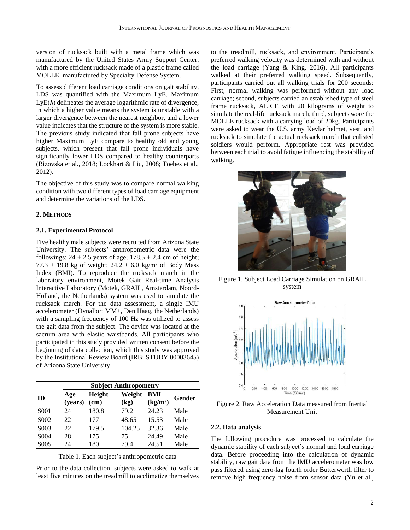version of rucksack built with a metal frame which was manufactured by the United States Army Support Center, with a more efficient rucksack made of a plastic frame called MOLLE, manufactured by Specialty Defense System.

To assess different load carriage conditions on gait stability, LDS was quantified with the Maximum LyE. Maximum  $L_yE(\lambda)$  delineates the average logarithmic rate of divergence, in which a higher value means the system is unstable with a larger divergence between the nearest neighbor, and a lower value indicates that the structure of the system is more stable. The previous study indicated that fall prone subjects have higher Maximum LyE compare to healthy old and young subjects, which present that fall prone individuals have significantly lower LDS compared to healthy counterparts (Bizovska et al., 2018; Lockhart & Liu, 2008; Toebes et al., 2012).

The objective of this study was to compare normal walking condition with two different types of load carriage equipment and determine the variations of the LDS.

#### **2. METHODS**

#### **2.1. Experimental Protocol**

Five healthy male subjects were recruited from Arizona State University. The subjects' anthropometric data were the followings:  $24 \pm 2.5$  years of age;  $178.5 \pm 2.4$  cm of height; 77.3  $\pm$  19.8 kg of weight; 24.2  $\pm$  6.0 kg/m<sup>2</sup> of Body Mass Index (BMI). To reproduce the rucksack march in the laboratory environment, Motek Gait Real-time Analysis Interactive Laboratory (Motek, GRAIL, Amsterdam, Noord-Holland, the Netherlands) system was used to simulate the rucksack march. For the data assessment, a single IMU accelerometer (DynaPort MM+, Den Haag, the Netherlands) with a sampling frequency of 100 Hz was utilized to assess the gait data from the subject. The device was located at the sacrum area with elastic waistbands. All participants who participated in this study provided written consent before the beginning of data collection, which this study was approved by the Institutional Review Board (IRB: STUDY 00003645) of Arizona State University.

|                   | <b>Subject Anthropometry</b> |                       |                |                             |        |
|-------------------|------------------------------|-----------------------|----------------|-----------------------------|--------|
| ID                | Age<br>(years)               | <b>Height</b><br>(cm) | Weight<br>(kg) | BMI<br>(kg/m <sup>2</sup> ) | Gender |
| S <sub>001</sub>  | 24                           | 180.8                 | 79.2           | 24.23                       | Male   |
| S <sub>0</sub> 02 | 22                           | 177                   | 48.65          | 15.53                       | Male   |
| S <sub>0</sub> 03 | 22                           | 179.5                 | 104.25         | 32.36                       | Male   |
| S <sub>0</sub> 04 | 28                           | 175                   | 75             | 24.49                       | Male   |
| S <sub>0</sub> 05 | 24                           | 180                   | 79.4           | 24.51                       | Male   |

Table 1. Each subject's anthropometric data

Prior to the data collection, subjects were asked to walk at least five minutes on the treadmill to acclimatize themselves

to the treadmill, rucksack, and environment. Participant's preferred walking velocity was determined with and without the load carriage (Yang & King, 2016). All participants walked at their preferred walking speed. Subsequently, participants carried out all walking trials for 200 seconds: First, normal walking was performed without any load carriage; second, subjects carried an established type of steel frame rucksack, ALICE with 20 kilograms of weight to simulate the real-life rucksack march; third, subjects wore the MOLLE rucksack with a carrying load of 20kg. Participants were asked to wear the U.S. army Kevlar helmet, vest, and rucksack to simulate the actual rucksack march that enlisted soldiers would perform. Appropriate rest was provided between each trial to avoid fatigue influencing the stability of walking.



Figure 1. Subject Load Carriage Simulation on GRAIL system



Figure 2. Raw Acceleration Data measured from Inertial Measurement Unit

#### **2.2. Data analysis**

The following procedure was processed to calculate the dynamic stability of each subject's normal and load carriage data. Before proceeding into the calculation of dynamic stability, raw gait data from the IMU accelerometer was low pass filtered using zero-lag fourth order Butterworth filter to remove high frequency noise from sensor data (Yu et al.,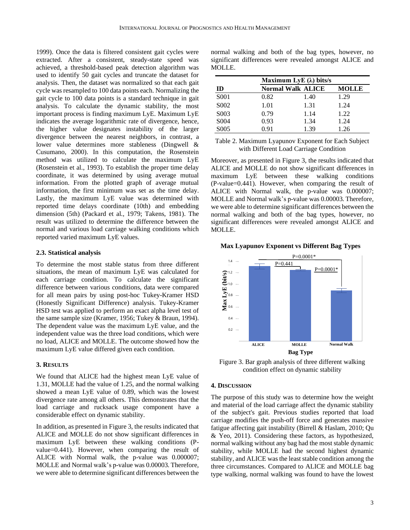1999). Once the data is filtered consistent gait cycles were extracted. After a consistent, steady-state speed was achieved, a threshold-based peak detection algorithm was used to identify 50 gait cycles and truncate the dataset for analysis. Then, the dataset was normalized so that each gait cycle was resampled to 100 data points each. Normalizing the gait cycle to 100 data points is a standard technique in gait analysis. To calculate the dynamic stability, the most important process is finding maximum LyE. Maximum LyE indicates the average logarithmic rate of divergence, hence, the higher value designates instability of the larger divergence between the nearest neighbors, in contrast, a lower value determines more stableness (Dingwell & Cusumano, 2000). In this computation, the Rosenstein method was utilized to calculate the maximum LyE (Rosenstein et al., 1993). To establish the proper time delay coordinate, it was determined by using average mutual information. From the plotted graph of average mutual information, the first minimum was set as the time delay. Lastly, the maximum LyE value was determined with reported time delays coordinate (10th) and embedding dimension (5th) (Packard et al., 1979; Takens, 1981). The result was utilized to determine the difference between the normal and various load carriage walking conditions which reported varied maximum LyE values.

#### **2.3. Statistical analysis**

To determine the most stable status from three different situations, the mean of maximum LyE was calculated for each carriage condition. To calculate the significant difference between various conditions, data were compared for all mean pairs by using post-hoc Tukey-Kramer HSD (Honestly Significant Difference) analysis. Tukey-Kramer HSD test was applied to perform an exact alpha level test of the same sample size (Kramer, 1956; Tukey & Braun, 1994). The dependent value was the maximum LyE value, and the independent value was the three load conditions, which were no load, ALICE and MOLLE. The outcome showed how the maximum LyE value differed given each condition.

#### **3. RESULTS**

We found that ALICE had the highest mean LyE value of 1.31, MOLLE had the value of 1.25, and the normal walking showed a mean LyE value of 0.89, which was the lowest divergence rate among all others. This demonstrates that the load carriage and rucksack usage component have a considerable effect on dynamic stability.

In addition, as presented in Figure 3, the results indicated that ALICE and MOLLE do not show significant differences in maximum LyE between these walking conditions (Pvalue=0.441). However, when comparing the result of ALICE with Normal walk, the p-value was 0.000007; MOLLE and Normal walk's p-value was 0.00003. Therefore, we were able to determine significant differences between the

normal walking and both of the bag types, however, no significant differences were revealed amongst ALICE and MOLLE.

|                   | Maximum LyE $(\lambda)$ bits/s |              |      |  |  |
|-------------------|--------------------------------|--------------|------|--|--|
| ID                | <b>Normal Walk ALICE</b>       | <b>MOLLE</b> |      |  |  |
| S <sub>001</sub>  | 0.82                           | 1.40         | 1.29 |  |  |
| S <sub>0</sub> 02 | 1.01                           | 1.31         | 1.24 |  |  |
| S <sub>0</sub> 03 | 0.79                           | 1.14         | 1.22 |  |  |
| S <sub>0</sub> 04 | 0.93                           | 1.34         | 1.24 |  |  |
| S <sub>005</sub>  | 0.91                           | 1.39         | 1.26 |  |  |

Table 2. Maximum Lyapunov Exponent for Each Subject with Different Load Carriage Condition

Moreover, as presented in Figure 3, the results indicated that ALICE and MOLLE do not show significant differences in maximum LyE between these walking conditions (P-value=0.441). However, when comparing the result of ALICE with Normal walk, the p-value was 0.000007; MOLLE and Normal walk's p-value was 0.00003. Therefore, we were able to determine significant differences between the normal walking and both of the bag types, however, no significant differences were revealed amongst ALICE and MOLLE.

**Max Lyapunov Exponent vs Different Bag Types**



Figure 3. Bar graph analysis of three different walking condition effect on dynamic stability

#### **4. DISCUSSION**

The purpose of this study was to determine how the weight and material of the load carriage affect the dynamic stability of the subject's gait. Previous studies reported that load carriage modifies the push-off force and generates massive fatigue affecting gait instability (Birrell & Haslam, 2010; Qu & Yeo, 2011). Considering these factors, as hypothesized, normal walking without any bag had the most stable dynamic stability, while MOLLE had the second highest dynamic stability, and ALICE was the least stable condition among the three circumstances. Compared to ALICE and MOLLE bag type walking, normal walking was found to have the lowest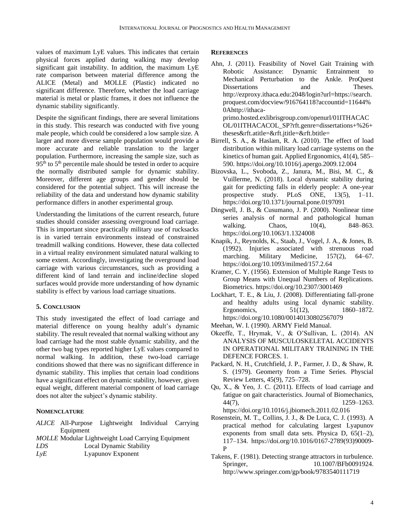values of maximum LyE values. This indicates that certain physical forces applied during walking may develop significant gait instability. In addition, the maximum LyE rate comparison between material difference among the ALICE (Metal) and MOLLE (Plastic) indicated no significant difference. Therefore, whether the load carriage material is metal or plastic frames, it does not influence the dynamic stability significantly.

Despite the significant findings, there are several limitations in this study. This research was conducted with five young male people, which could be considered a low sample size. A larger and more diverse sample population would provide a more accurate and reliable translation to the larger population. Furthermore, increasing the sample size, such as  $95<sup>th</sup>$  to  $5<sup>th</sup>$  percentile male should be tested in order to acquire the normally distributed sample for dynamic stability. Moreover, different age groups and gender should be considered for the potential subject. This will increase the reliability of the data and understand how dynamic stability performance differs in another experimental group.

Understanding the limitations of the current research, future studies should consider assessing overground load carriage. This is important since practically military use of rucksacks is in varied terrain environments instead of constrained treadmill walking conditions. However, these data collected in a virtual reality environment simulated natural walking to some extent. Accordingly, investigating the overground load carriage with various circumstances, such as providing a different kind of land terrain and incline/decline sloped surfaces would provide more understanding of how dynamic stability is effect by various load carriage situations.

#### **5. CONCLUSION**

This study investigated the effect of load carriage and material difference on young healthy adult's dynamic stability. The result revealed that normal walking without any load carriage had the most stable dynamic stability, and the other two bag types reported higher LyE values compared to normal walking. In addition, these two-load carriage conditions showed that there was no significant difference in dynamic stability. This implies that certain load conditions have a significant effect on dynamic stability, however, given equal weight, different material component of load carriage does not alter the subject's dynamic stability.

#### **NOMENCLATURE**

*ALICE* All-Purpose Lightweight Individual Carrying Equipment

*MOLLE* Modular Lightweight Load Carrying Equipment

*LyE* Lyapunov Exponent

#### **REFERENCES**

- Ahn, J. (2011). Feasibility of Novel Gait Training with Robotic Assistance: Dynamic Entrainment to Mechanical Perturbation to the Ankle. ProQuest Dissertations and Theses. http://ezproxy.ithaca.edu:2048/login?url=https://search. proquest.com/docview/916764118?accountid=11644% 0Ahttp://ithacaprimo.hosted.exlibrisgroup.com/openurl/01ITHACAC OL/01ITHACACOL\_SP?rft.genre=dissertations+%26+ theses&rft.atitle=&rft.jtitle=&rft.btitle=
- Birrell, S. A., & Haslam, R. A. (2010). The effect of load distribution within military load carriage systems on the kinetics of human gait. Applied Ergonomics, 41(4), 585– 590. https://doi.org/10.1016/j.apergo.2009.12.004
- Bizovska, L., Svoboda, Z., Janura, M., Bisi, M. C., & Vuillerme, N. (2018). Local dynamic stability during gait for predicting falls in elderly people: A one-year prospective study. PLoS ONE, 13(5), 1–11. https://doi.org/10.1371/journal.pone.0197091
- Dingwell, J. B., & Cusumano, J. P. (2000). Nonlinear time series analysis of normal and pathological human walking. Chaos, 10(4), 848–863. https://doi.org/10.1063/1.1324008
- Knapik, J., Reynolds, K., Staab, J., Vogel, J. A., & Jones, B. (1992). Injuries associated with strenuous road marching. Military Medicine, 157(2), 64–67. https://doi.org/10.1093/milmed/157.2.64
- Kramer, C. Y. (1956). Extension of Multiple Range Tests to Group Means with Unequal Numbers of Replications. Biometrics. https://doi.org/10.2307/3001469
- Lockhart, T. E., & Liu, J. (2008). Differentiating fall-prone and healthy adults using local dynamic stability. Ergonomics, 51(12), 1860–1872. https://doi.org/10.1080/00140130802567079
- Meehan, W. I. (1990). ARMY Field Manual.
- Okeeffe, T., Hrymak, V., & O'Sullivan, L. (2014). AN ANALYSIS OF MUSCULOSKELETAL ACCIDENTS IN OPERATIONAL MILITARY TRAINING IN THE DEFENCE FORCES. 1.
- Packard, N. H., Crutchfield, J. P., Farmer, J. D., & Shaw, R. S. (1979). Geomerty from a Time Series. Physcial Review Letters, 45(9), 725–728.
- Qu, X., & Yeo, J. C. (2011). Effects of load carriage and fatigue on gait characteristics. Journal of Biomechanics, 44(7), 1259–1263.

https://doi.org/10.1016/j.jbiomech.2011.02.016

- Rosenstein, M. T., Collins, J. J., & De Luca, C. J. (1993). A practical method for calculating largest Lyapunov exponents from small data sets. Physica D, 65(1–2), 117–134. https://doi.org/10.1016/0167-2789(93)90009- P
- Takens, F. (1981). Detecting strange attractors in turbulence. Springer, 10.1007/BFb0091924. http://www.springer.com/gp/book/9783540111719